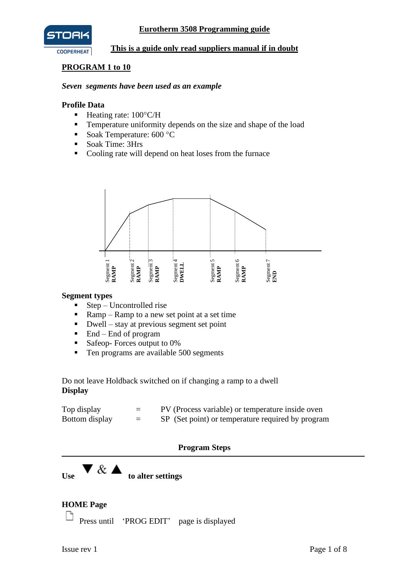



### **This is a guide only read suppliers manual if in doubt**

## **PROGRAM 1 to 10**

#### *Seven segments have been used as an example*

#### **Profile Data**

- $\blacksquare$  Heating rate: 100 $\rm ^{\circ}C/H$
- **•** Temperature uniformity depends on the size and shape of the load
- Soak Temperature:  $600 °C$
- Soak Time: 3Hrs
- Cooling rate will depend on heat loses from the furnace



#### **Segment types**

- $\blacksquare$  Step Uncontrolled rise
- **•** Ramp Ramp to a new set point at a set time
- $\blacksquare$  Dwell stay at previous segment set point
- $\blacksquare$  End End of program
- Safeop- Forces output to 0%
- Ten programs are available 500 segments

Do not leave Holdback switched on if changing a ramp to a dwell **Display**

| Top display    | $=$ | PV (Process variable) or temperature inside oven  |
|----------------|-----|---------------------------------------------------|
| Bottom display | $-$ | SP (Set point) or temperature required by program |

### **Program Steps**

 $\overline{\mathbf{U}}$  **V** &  $\overline{\mathbf{A}}$  to alter settings

# **HOME Page**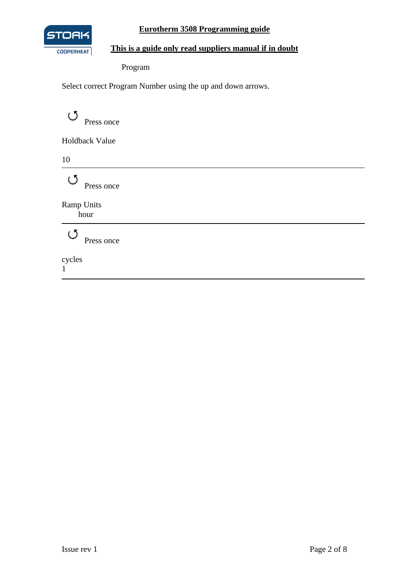

## **Eurotherm 3508 Programming guide**

# **This is a guide only read suppliers manual if in doubt**

Program

Select correct Program Number using the up and down arrows.

 $\circlearrowleft$ Press once

Holdback Value

10

 $\circlearrowleft$  Press once

Ramp Units hour

> ಲ Press once

cycles 1